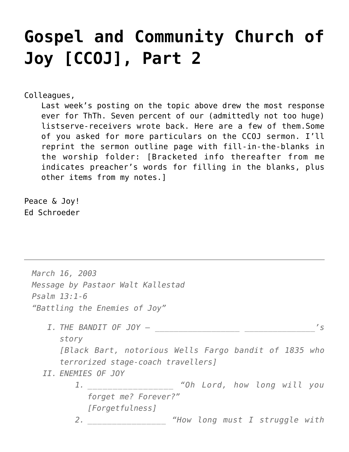# **[Gospel and Community Church of](https://crossings.org/gospel-and-community-church-of-joy-ccoj-part-2/) [Joy \[CCOJ\], Part 2](https://crossings.org/gospel-and-community-church-of-joy-ccoj-part-2/)**

Colleagues,

Last week's posting on the topic above drew the most response ever for ThTh. Seven percent of our (admittedly not too huge) listserve-receivers wrote back. Here are a few of them.Some of you asked for more particulars on the CCOJ sermon. I'll reprint the sermon outline page with fill-in-the-blanks in the worship folder: [Bracketed info thereafter from me indicates preacher's words for filling in the blanks, plus other items from my notes.]

Peace & Joy! Ed Schroeder

*March 16, 2003 Message by Pastaor Walt Kallestad Psalm 13:1-6 "Battling the Enemies of Joy" I. THE BANDIT OF JOY — \_\_\_\_\_\_\_\_\_\_\_\_\_\_\_\_\_\_ \_\_\_\_\_\_\_\_\_\_\_\_\_\_\_'s story [Black Bart, notorious Wells Fargo bandit of 1835 who terrorized stage-coach travellers] II. ENEMIES OF JOY 1. \_\_\_\_\_\_\_\_\_\_\_\_\_\_\_\_\_ "Oh Lord, how long will you forget me? Forever?" [Forgetfulness] 2. \_\_\_\_\_\_\_\_\_\_\_\_\_\_\_\_ "How long must I struggle with*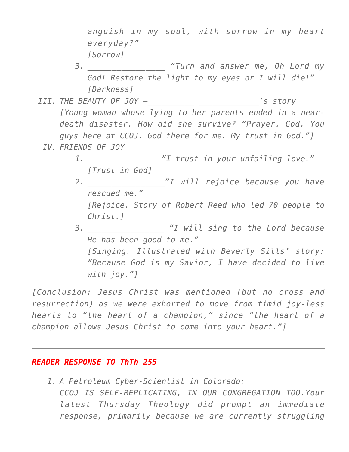*anguish in my soul, with sorrow in my heart everyday?" [Sorrow]*

*3. \_\_\_\_\_\_\_\_\_\_\_\_\_\_\_\_ "Turn and answer me, Oh Lord my God! Restore the light to my eyes or I will die!" [Darkness]*

- *III. THE BEAUTY OF JOY –\_\_\_\_\_\_\_\_\_\_ \_\_\_\_\_\_\_\_\_\_\_\_\_'s story [Young woman whose lying to her parents ended in a neardeath disaster. How did she survive? "Prayer. God. You guys here at CCOJ. God there for me. My trust in God."]*
	- *IV. FRIENDS OF JOY*
		- *1. \_\_\_\_\_\_\_\_\_\_\_\_\_\_\_\_"I trust in your unfailing love." [Trust in God]*
		- *2. \_\_\_\_\_\_\_\_\_\_\_\_\_\_\_\_"I will rejoice because you have rescued me." [Rejoice. Story of Robert Reed who led 70 people to Christ.]*
		- *3. \_\_\_\_\_\_\_\_\_\_\_\_\_\_\_\_ "I will sing to the Lord because He has been good to me." [Singing. Illustrated with Beverly Sills' story: "Because God is my Savior, I have decided to live with joy."]*

*[Conclusion: Jesus Christ was mentioned (but no cross and resurrection) as we were exhorted to move from timid joy-less hearts to "the heart of a champion," since "the heart of a champion allows Jesus Christ to come into your heart."]*

## *READER RESPONSE TO ThTh 255*

*1. A Petroleum Cyber-Scientist in Colorado: CCOJ IS SELF-REPLICATING, IN OUR CONGREGATION TOO.Your latest Thursday Theology did prompt an immediate response, primarily because we are currently struggling*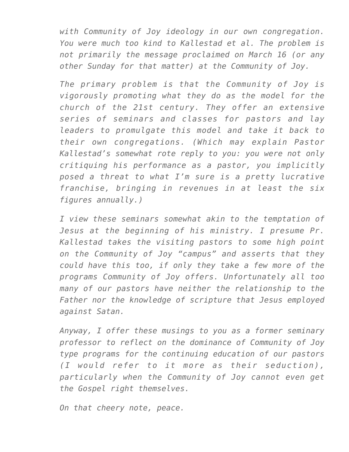*with Community of Joy ideology in our own congregation. You were much too kind to Kallestad et al. The problem is not primarily the message proclaimed on March 16 (or any other Sunday for that matter) at the Community of Joy.*

*The primary problem is that the Community of Joy is vigorously promoting what they do as the model for the church of the 21st century. They offer an extensive series of seminars and classes for pastors and lay leaders to promulgate this model and take it back to their own congregations. (Which may explain Pastor Kallestad's somewhat rote reply to you: you were not only critiquing his performance as a pastor, you implicitly posed a threat to what I'm sure is a pretty lucrative franchise, bringing in revenues in at least the six figures annually.)*

*I view these seminars somewhat akin to the temptation of Jesus at the beginning of his ministry. I presume Pr. Kallestad takes the visiting pastors to some high point on the Community of Joy "campus" and asserts that they could have this too, if only they take a few more of the programs Community of Joy offers. Unfortunately all too many of our pastors have neither the relationship to the Father nor the knowledge of scripture that Jesus employed against Satan.*

*Anyway, I offer these musings to you as a former seminary professor to reflect on the dominance of Community of Joy type programs for the continuing education of our pastors (I would refer to it more as their seduction), particularly when the Community of Joy cannot even get the Gospel right themselves.*

*On that cheery note, peace.*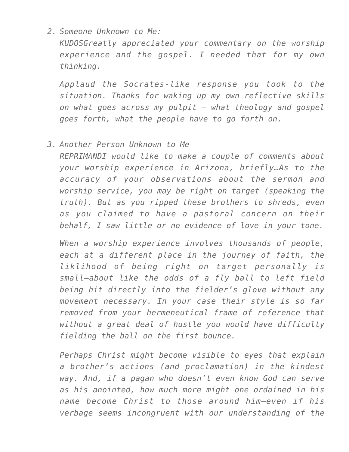### *2. Someone Unknown to Me:*

*KUDOSGreatly appreciated your commentary on the worship experience and the gospel. I needed that for my own thinking.*

*Applaud the Socrates-like response you took to the situation. Thanks for waking up my own reflective skills on what goes across my pulpit – what theology and gospel goes forth, what the people have to go forth on.*

#### *3. Another Person Unknown to Me*

*REPRIMANDI would like to make a couple of comments about your worship experience in Arizona, briefly…As to the accuracy of your observations about the sermon and worship service, you may be right on target (speaking the truth). But as you ripped these brothers to shreds, even as you claimed to have a pastoral concern on their behalf, I saw little or no evidence of love in your tone.*

*When a worship experience involves thousands of people, each at a different place in the journey of faith, the liklihood of being right on target personally is small–about like the odds of a fly ball to left field being hit directly into the fielder's glove without any movement necessary. In your case their style is so far removed from your hermeneutical frame of reference that without a great deal of hustle you would have difficulty fielding the ball on the first bounce.*

*Perhaps Christ might become visible to eyes that explain a brother's actions (and proclamation) in the kindest way. And, if a pagan who doesn't even know God can serve as his anointed, how much more might one ordained in his name become Christ to those around him–even if his verbage seems incongruent with our understanding of the*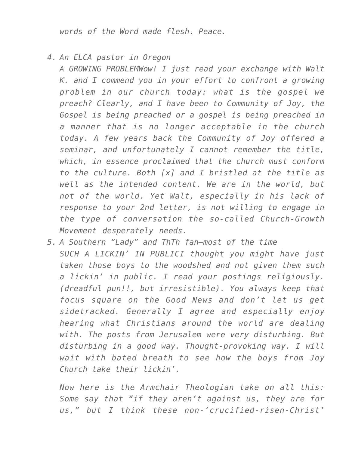*words of the Word made flesh. Peace.*

*4. An ELCA pastor in Oregon*

*A GROWING PROBLEMWow! I just read your exchange with Walt K. and I commend you in your effort to confront a growing problem in our church today: what is the gospel we preach? Clearly, and I have been to Community of Joy, the Gospel is being preached or a gospel is being preached in a manner that is no longer acceptable in the church today. A few years back the Community of Joy offered a seminar, and unfortunately I cannot remember the title, which, in essence proclaimed that the church must conform to the culture. Both [x] and I bristled at the title as well as the intended content. We are in the world, but not of the world. Yet Walt, especially in his lack of response to your 2nd letter, is not willing to engage in the type of conversation the so-called Church-Growth Movement desperately needs.*

*5. A Southern "Lady" and ThTh fan–most of the time SUCH A LICKIN' IN PUBLICI thought you might have just taken those boys to the woodshed and not given them such a lickin' in public. I read your postings religiously. (dreadful pun!!, but irresistible). You always keep that focus square on the Good News and don't let us get sidetracked. Generally I agree and especially enjoy hearing what Christians around the world are dealing with. The posts from Jerusalem were very disturbing. But disturbing in a good way. Thought-provoking way. I will wait with bated breath to see how the boys from Joy Church take their lickin'.*

*Now here is the Armchair Theologian take on all this: Some say that "if they aren't against us, they are for us," but I think these non-'crucified-risen-Christ'*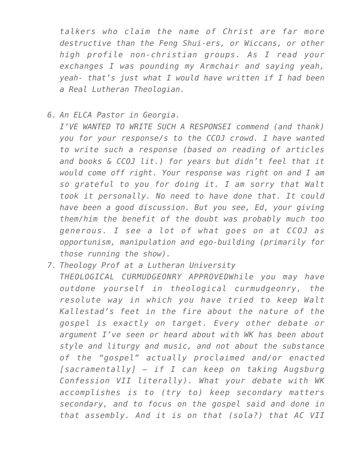*talkers who claim the name of Christ are far more destructive than the Feng Shui-ers, or Wiccans, or other high profile non-christian groups. As I read your exchanges I was pounding my Armchair and saying yeah, yeah- that's just what I would have written if I had been a Real Lutheran Theologian.*

*6. An ELCA Pastor in Georgia.*

*I'VE WANTED TO WRITE SUCH A RESPONSEI commend (and thank) you for your response/s to the CCOJ crowd. I have wanted to write such a response (based on reading of articles and books & CCOJ lit.) for years but didn't feel that it would come off right. Your response was right on and I am so grateful to you for doing it. I am sorry that Walt took it personally. No need to have done that. It could have been a good discussion. But you see, Ed, your giving them/him the benefit of the doubt was probably much too generous. I see a lot of what goes on at CCOJ as opportunism, manipulation and ego-building (primarily for those running the show).*

*7. Theology Prof at a Lutheran University THEOLOGICAL CURMUDGEONRY APPROVEDWhile you may have outdone yourself in theological curmudgeonry, the resolute way in which you have tried to keep Walt Kallestad's feet in the fire about the nature of the gospel is exactly on target. Every other debate or argument I've seen or heard about with WK has been about style and liturgy and music, and not about the substance of the "gospel" actually proclaimed and/or enacted [sacramentally] — if I can keep on taking Augsburg Confession VII literally). What your debate with WK accomplishes is to (try to) keep secondary matters secondary, and to focus on the gospel said and done in that assembly. And it is on that (sola?) that AC VII*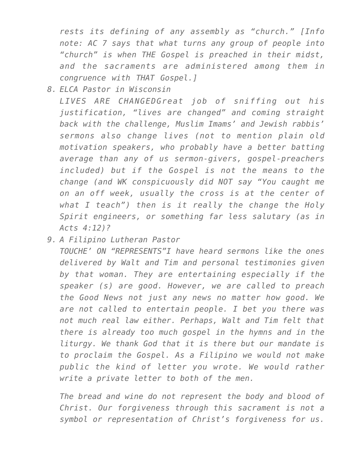*rests its defining of any assembly as "church." [Info note: AC 7 says that what turns any group of people into "church" is when THE Gospel is preached in their midst, and the sacraments are administered among them in congruence with THAT Gospel.]*

*8. ELCA Pastor in Wisconsin*

*LIVES ARE CHANGEDGreat job of sniffing out his justification, "lives are changed" and coming straight back with the challenge, Muslim Imams' and Jewish rabbis' sermons also change lives (not to mention plain old motivation speakers, who probably have a better batting average than any of us sermon-givers, gospel-preachers included) but if the Gospel is not the means to the change (and WK conspicuously did NOT say "You caught me on an off week, usually the cross is at the center of what I teach") then is it really the change the Holy Spirit engineers, or something far less salutary (as in Acts 4:12)?*

*9. A Filipino Lutheran Pastor*

*TOUCHE' ON "REPRESENTS"I have heard sermons like the ones delivered by Walt and Tim and personal testimonies given by that woman. They are entertaining especially if the speaker (s) are good. However, we are called to preach the Good News not just any news no matter how good. We are not called to entertain people. I bet you there was not much real law either. Perhaps, Walt and Tim felt that there is already too much gospel in the hymns and in the liturgy. We thank God that it is there but our mandate is to proclaim the Gospel. As a Filipino we would not make public the kind of letter you wrote. We would rather write a private letter to both of the men.*

*The bread and wine do not represent the body and blood of Christ. Our forgiveness through this sacrament is not a symbol or representation of Christ's forgiveness for us.*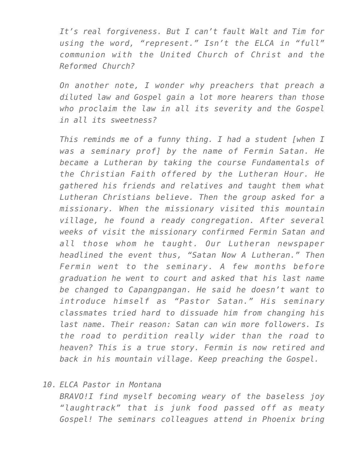*It's real forgiveness. But I can't fault Walt and Tim for using the word, "represent." Isn't the ELCA in "full" communion with the United Church of Christ and the Reformed Church?*

*On another note, I wonder why preachers that preach a diluted law and Gospel gain a lot more hearers than those who proclaim the law in all its severity and the Gospel in all its sweetness?*

*This reminds me of a funny thing. I had a student [when I was a seminary prof] by the name of Fermin Satan. He became a Lutheran by taking the course Fundamentals of the Christian Faith offered by the Lutheran Hour. He gathered his friends and relatives and taught them what Lutheran Christians believe. Then the group asked for a missionary. When the missionary visited this mountain village, he found a ready congregation. After several weeks of visit the missionary confirmed Fermin Satan and all those whom he taught. Our Lutheran newspaper headlined the event thus, "Satan Now A Lutheran." Then Fermin went to the seminary. A few months before graduation he went to court and asked that his last name be changed to Capangpangan. He said he doesn't want to introduce himself as "Pastor Satan." His seminary classmates tried hard to dissuade him from changing his last name. Their reason: Satan can win more followers. Is the road to perdition really wider than the road to heaven? This is a true story. Fermin is now retired and back in his mountain village. Keep preaching the Gospel.*

#### *10. ELCA Pastor in Montana*

*BRAVO!I find myself becoming weary of the baseless joy "laughtrack" that is junk food passed off as meaty Gospel! The seminars colleagues attend in Phoenix bring*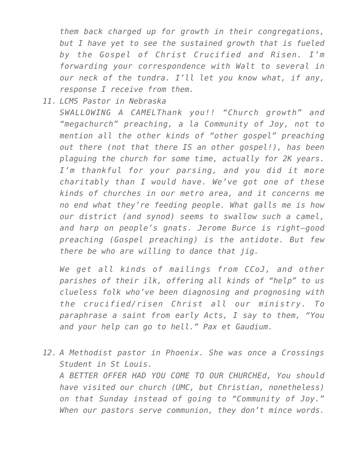*them back charged up for growth in their congregations, but I have yet to see the sustained growth that is fueled by the Gospel of Christ Crucified and Risen. I'm forwarding your correspondence with Walt to several in our neck of the tundra. I'll let you know what, if any, response I receive from them.*

*11. LCMS Pastor in Nebraska SWALLOWING A CAMELThank you!! "Church growth" and "megachurch" preaching, a la Community of Joy, not to mention all the other kinds of "other gospel" preaching out there (not that there IS an other gospel!), has been plaguing the church for some time, actually for 2K years. I'm thankful for your parsing, and you did it more charitably than I would have. We've got one of these kinds of churches in our metro area, and it concerns me no end what they're feeding people. What galls me is how our district (and synod) seems to swallow such a camel, and harp on people's gnats. Jerome Burce is right–good preaching (Gospel preaching) is the antidote. But few there be who are willing to dance that jig.*

*We get all kinds of mailings from CCoJ, and other parishes of their ilk, offering all kinds of "help" to us clueless folk who've been diagnosing and prognosing with the crucified/risen Christ all our ministry. To paraphrase a saint from early Acts, I say to them, "You and your help can go to hell." Pax et Gaudium.*

*12. A Methodist pastor in Phoenix. She was once a Crossings Student in St Louis. A BETTER OFFER HAD YOU COME TO OUR CHURCHEd, You should have visited our church (UMC, but Christian, nonetheless) on that Sunday instead of going to "Community of Joy." When our pastors serve communion, they don't mince words.*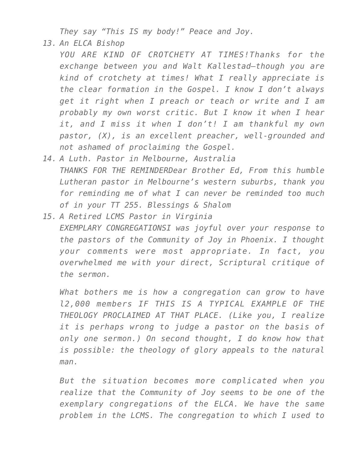*They say "This IS my body!" Peace and Joy.*

*13. An ELCA Bishop*

*YOU ARE KIND OF CROTCHETY AT TIMES!Thanks for the exchange between you and Walt Kallestad–though you are kind of crotchety at times! What I really appreciate is the clear formation in the Gospel. I know I don't always get it right when I preach or teach or write and I am probably my own worst critic. But I know it when I hear it, and I miss it when I don't! I am thankful my own pastor, (X), is an excellent preacher, well-grounded and not ashamed of proclaiming the Gospel.*

- *14. A Luth. Pastor in Melbourne, Australia THANKS FOR THE REMINDERDear Brother Ed, From this humble Lutheran pastor in Melbourne's western suburbs, thank you for reminding me of what I can never be reminded too much of in your TT 255. Blessings & Shalom*
- *15. A Retired LCMS Pastor in Virginia EXEMPLARY CONGREGATIONSI was joyful over your response to the pastors of the Community of Joy in Phoenix. I thought your comments were most appropriate. In fact, you overwhelmed me with your direct, Scriptural critique of the sermon.*

*What bothers me is how a congregation can grow to have l2,000 members IF THIS IS A TYPICAL EXAMPLE OF THE THEOLOGY PROCLAIMED AT THAT PLACE. (Like you, I realize it is perhaps wrong to judge a pastor on the basis of only one sermon.) On second thought, I do know how that is possible: the theology of glory appeals to the natural man.*

*But the situation becomes more complicated when you realize that the Community of Joy seems to be one of the exemplary congregations of the ELCA. We have the same problem in the LCMS. The congregation to which I used to*